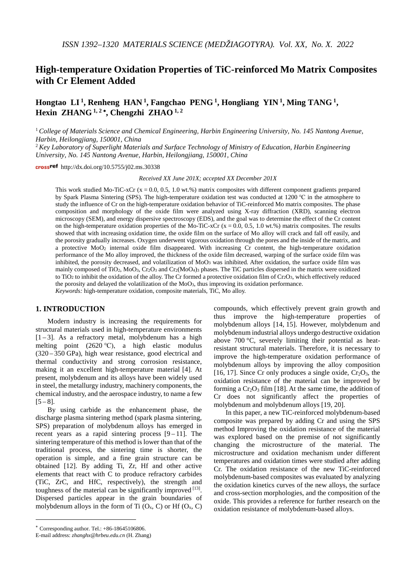# **High-temperature Oxidation Properties of TiC-reinforced Mo Matrix Composites with Cr Element Added**

**Hongtao LI 1, Renheng HAN 1, Fangchao PENG 1, Hongliang YIN 1, Ming TANG 1, Hexin ZHANG**  $^{1,2}$ <sup>\*</sup>, Chengzhi ZHAO<sup> $1,2$ </sup>

<sup>1</sup> *College of Materials Science and Chemical Engineering, Harbin Engineering University, No. 145 Nantong Avenue, Harbin, Heilongjiang, 150001, China*

<sup>2</sup> *Key Laboratory of Superlight Materials and Surface Technology of Ministry of Education, Harbin Engineering University, No. 145 Nantong Avenue, Harbin, Heilongjiang, 150001, China*

crossref http://dx.doi.org/10.5755/j02.ms.30338

*Received XX June 201X; accepted XX December 201X*

This work studied Mo-TiC-xCr ( $x = 0.0, 0.5, 1.0$  wt.%) matrix composites with different component gradients prepared by Spark Plasma Sintering (SPS). The high-temperature oxidation test was conducted at 1200 ℃ in the atmosphere to study the influence of Cr on the high-temperature oxidation behavior of TiC-reinforced Mo matrix composites. The phase composition and morphology of the oxide film were analyzed using X-ray diffraction (XRD), scanning electron microscopy (SEM), and energy dispersive spectroscopy (EDS), and the goal was to determine the effect of the Cr content on the high-temperature oxidation properties of the Mo-TiC-xCr  $(x = 0.0, 0.5, 1.0$  wt.%) matrix composites. The results showed that with increasing oxidation time, the oxide film on the surface of Mo alloy will crack and fall off easily, and the porosity gradually increases. Oxygen underwent vigorous oxidation through the pores and the inside of the matrix, and a protective MoO2 internal oxide film disappeared. With increasing Cr content, the high-temperature oxidation performance of the Mo alloy improved, the thickness of the oxide film decreased, warping of the surface oxide film was inhibited, the porosity decreased, and volatilization of MoO<sub>3</sub> was inhibited. After oxidation, the surface oxide film was mainly composed of TiO2, MoO3, Cr2O3 and Cr2(MoO4)3 phases. The TiC particles dispersed in the matrix were oxidized to TiO<sub>2</sub> to inhibit the oxidation of the alloy. The Cr formed a protective oxidation film of  $Cr_2O_3$ , which effectively reduced the porosity and delayed the volatilization of the MoO3, thus improving its oxidation performance. *Keywords:* high-temperature oxidation, composite materials, TiC, Mo alloy.

## **1. INTRODUCTION**[†](#page-0-0)

Modern industry is increasing the requirements for structural materials used in high-temperature environments  $[1-3]$  $[1-3]$  $[1-3]$ . As a refractory metal, molybdenum has a high melting point (2620 ℃), a high elastic modulus (320 – 350 GPa), high wear resistance, good electrical and thermal conductivity and strong corrosion resistance, making it an excellent high-temperature material [\[4\]](#page-4-2). At present, molybdenum and its alloys have been widely used in steel, the metallurgy industry, machinery components, the chemical industry, and the aerospace industry, to name a few  $[5 - 8]$  $[5 - 8]$  $[5 - 8]$ .

By using carbide as the enhancement phase, the discharge plasma sintering method (spark plasma sintering, SPS) preparation of molybdenum alloys has emerged in recent years as a rapid sintering process  $[9 - 11]$  $[9 - 11]$  $[9 - 11]$ . The sintering temperature of this method is lower than that of the traditional process, the sintering time is shorter, the operation is simple, and a fine grain structure can be obtained [\[12\]](#page-5-1). By adding Ti, Zr, Hf and other active elements that react with C to produce refractory carbides (TiC, ZrC, and HfC, respectively), the strength and toughness of the material can be significantly improved  $[13]$ . Dispersed particles appear in the grain boundaries of molybdenum alloys in the form of Ti  $(O_x, C)$  or Hf  $(O_x, C)$ 

<u>.</u>

compounds, which effectively prevent grain growth and thus improve the high-temperature properties of molybdenum alloys [\[14,](#page-5-3) [15\]](#page-5-4). However, molybdenum and molybdenum industrial alloys undergo destructive oxidation above 700 °C, severely limiting their potential as heatresistant structural materials. Therefore, it is necessary to improve the high-temperature oxidation performance of molybdenum alloys by improving the alloy composition [\[16,](#page-5-5) [17\]](#page-5-6). Since Cr only produces a single oxide,  $Cr_2O_3$ , the oxidation resistance of the material can be improved by forming a  $Cr_2O_3$  film [\[18\]](#page-5-7). At the same time, the addition of Cr does not significantly affect the properties of molybdenum and molybdenum alloys [\[19,](#page-5-8) [20\]](#page-5-9).

In this paper, a new TiC-reinforced molybdenum-based composite was prepared by adding Cr and using the SPS method Improving the oxidation resistance of the material was explored based on the premise of not significantly changing the microstructure of the material. The microstructure and oxidation mechanism under different temperatures and oxidation times were studied after adding Cr. The oxidation resistance of the new TiC-reinforced molybdenum-based composites was evaluated by analyzing the oxidation kinetics curves of the new alloys, the surface and cross-section morphologies, and the composition of the oxide. This provides a reference for further research on the oxidation resistance of molybdenum-based alloys.

<span id="page-0-0"></span><sup>∗</sup> Corresponding author. Tel.: +86-18645106806.

E-mail address: *zhanghx@hrbeu.edu.cn* (H. Zhang)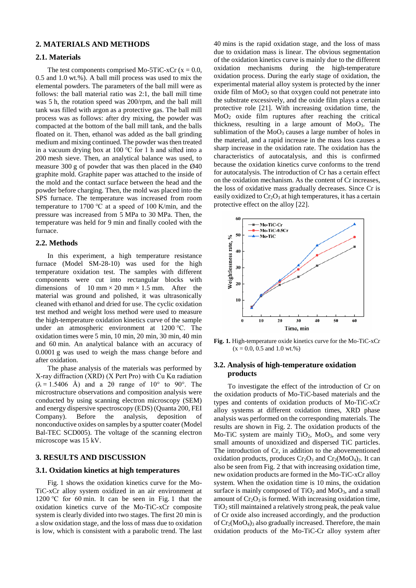## **2. MATERIALS AND METHODS**

## **2.1. Materials**

The test components comprised Mo-5TiC-xCr ( $x = 0.0$ , 0.5 and 1.0 wt.%). A ball mill process was used to mix the elemental powders. The parameters of the ball mill were as follows: the ball material ratio was 2:1, the ball mill time was 5 h, the rotation speed was 200/rpm, and the ball mill tank was filled with argon as a protective gas. The ball mill process was as follows: after dry mixing, the powder was compacted at the bottom of the ball mill tank, and the balls floated on it. Then, ethanol was added as the ball grinding medium and mixing continued. The powder was then treated in a vacuum drying box at 100 ℃ for 1 h and sifted into a 200 mesh sieve. Then, an analytical balance was used, to measure 300 g of powder that was then placed in the  $\varnothing$ 40 graphite mold. Graphite paper was attached to the inside of the mold and the contact surface between the head and the powder before charging. Then, the mold was placed into the SPS furnace. The temperature was increased from room temperature to 1700 ℃ at a speed of 100 K/min, and the pressure was increased from 5 MPa to 30 MPa. Then, the temperature was held for 9 min and finally cooled with the furnace.

### **2.2. Methods**

In this experiment, a high temperature resistance furnace (Model SM-28-10) was used for the high temperature oxidation test. The samples with different components were cut into rectangular blocks with dimensions of  $10 \text{ mm} \times 20 \text{ mm} \times 1.5 \text{ mm}$ . After the material was ground and polished, it was ultrasonically cleaned with ethanol and dried for use. The cyclic oxidation test method and weight loss method were used to measure the high-temperature oxidation kinetics curve of the sample under an atmospheric environment at 1200 ℃. The oxidation times were 5 min, 10 min, 20 min, 30 min, 40 min and 60 min. An analytical balance with an accuracy of 0.0001 g was used to weigh the mass change before and after oxidation.

The phase analysis of the materials was performed by X-ray diffraction (XRD) (X Pert Pro) with Cu Kα radiation  $(\lambda = 1.5406 \text{ Å})$  and a 2 $\theta$  range of 10° to 90°. The microstructure observations and composition analysis were conducted by using scanning electron microscopy (SEM) and energy dispersive spectroscopy (EDS) (Quanta 200, FEI Company). Before the analysis, deposition of nonconductive oxides on samples by a sputter coater (Model Bal-TEC SCD005). The voltage of the scanning electron microscope was 15 kV.

## **3. RESULTS AND DISCUSSION**

#### **3.1. Oxidation kinetics at high temperatures**

Fig. 1 shows the oxidation kinetics curve for the Mo-TiC-xCr alloy system oxidized in an air environment at 1200 ℃ for 60 min. It can be seen in Fig. 1 that the oxidation kinetics curve of the Mo-TiC-xCr composite system is clearly divided into two stages. The first 20 min is a slow oxidation stage, and the loss of mass due to oxidation is low, which is consistent with a parabolic trend. The last 40 mins is the rapid oxidation stage, and the loss of mass due to oxidation mass is linear. The obvious segmentation of the oxidation kinetics curve is mainly due to the different oxidation mechanisms during the high-temperature oxidation process. During the early stage of oxidation, the experimental material alloy system is protected by the inner oxide film of  $MoO<sub>2</sub>$  so that oxygen could not penetrate into the substrate excessively, and the oxide film plays a certain protective role [\[21\]](#page-5-10). With increasing oxidation time, the MoO2 oxide film ruptures after reaching the critical thickness, resulting in a large amount of  $MoO<sub>3</sub>$ . The sublimation of the  $MoO<sub>3</sub>$  causes a large number of holes in the material, and a rapid increase in the mass loss causes a sharp increase in the oxidation rate. The oxidation has the characteristics of autocatalysis, and this is confirmed because the oxidation kinetics curve conforms to the trend for autocatalysis. The introduction of Cr has a certain effect on the oxidation mechanism. As the content of Cr increases, the loss of oxidative mass gradually decreases. Since Cr is easily oxidized to  $Cr_2O_3$  at high temperatures, it has a certain protective effect on the alloy [\[22\]](#page-5-11).



**Fig. 1.** High-temperature oxide kinetics curve for the Mo-TiC-xCr  $(x = 0.0, 0.5, and 1.0, w,%)$ 

### **3.2. Analysis of high-temperature oxidation products**

To investigate the effect of the introduction of Cr on the oxidation products of Mo-TiC-based materials and the types and contents of oxidation products of Mo-TiC-xCr alloy systems at different oxidation times, XRD phase analysis was performed on the corresponding materials. The results are shown in Fig. 2. The oxidation products of the Mo-TiC system are mainly  $TiO<sub>2</sub>$ , MoO<sub>3</sub>, and some very small amounts of unoxidized and dispersed TiC particles. The introduction of Cr, in addition to the abovementioned oxidation products, produces  $Cr_2O_3$  and  $Cr_2(M_0O_4)_3$ . It can also be seen from Fig. 2 that with increasing oxidation time, new oxidation products are formed in the Mo-TiC-xCr alloy system. When the oxidation time is 10 mins, the oxidation surface is mainly composed of  $TiO<sub>2</sub>$  and MoO<sub>3</sub>, and a small amount of  $Cr_2O_3$  is formed. With increasing oxidation time, TiO2 still maintained a relatively strong peak, the peak value of Cr oxide also increased accordingly, and the production of  $Cr_2(M_0O_4)$ <sub>3</sub> also gradually increased. Therefore, the main oxidation products of the Mo-TiC-Cr alloy system after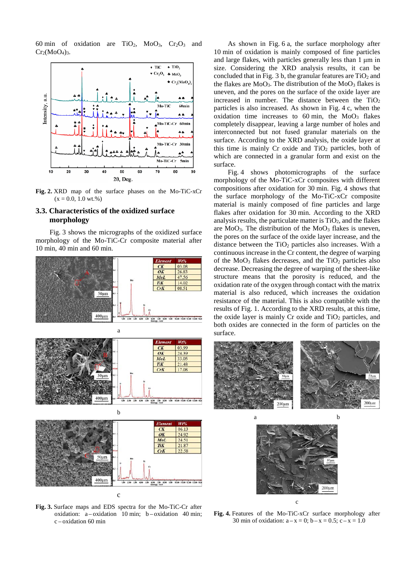60 min of oxidation are  $TiO<sub>2</sub>$ ,  $MoO<sub>3</sub>$ ,  $Cr<sub>2</sub>O<sub>3</sub>$  and  $Cr_2(M_0O_4)_3$ .



**Fig. 2.** XRD map of the surface phases on the Mo-TiC-xCr  $(x - 0.0, 1.0 \text{ wt.})$ 

## **3.3. Characteristics of the oxidized surface morphology**

Fig. 3 shows the micrographs of the oxidized surface morphology of the Mo-TiC-Cr composite material after 10 min, 40 min and 60 min.



**Fig. 3.** Surface maps and EDS spectra for the Mo-TiC-Cr after oxidation:  $a -$  oxidation 10 min;  $b -$  oxidation 40 min; c – oxidation 60 min

As shown in Fig. 6 a, the surface morphology after 10 min of oxidation is mainly composed of fine particles and large flakes, with particles generally less than 1 μm in size. Considering the XRD analysis results, it can be concluded that in Fig. 3 b, the granular features are  $TiO<sub>2</sub>$  and the flakes are  $MoO<sub>3</sub>$ . The distribution of the  $MoO<sub>3</sub>$  flakes is uneven, and the pores on the surface of the oxide layer are increased in number. The distance between the  $TiO<sub>2</sub>$ particles is also increased. As shown in Fig. 4 c, when the oxidation time increases to  $60 \text{ min}$ , the  $\text{MoO}_3$  flakes completely disappear, leaving a large number of holes and interconnected but not fused granular materials on the surface. According to the XRD analysis, the oxide layer at this time is mainly Cr oxide and  $TiO<sub>2</sub>$  particles, both of which are connected in a granular form and exist on the surface.

Fig. 4 shows photomicrographs of the surface morphology of the Mo-TiC-xCr composites with different compositions after oxidation for 30 min. Fig. 4 shows that the surface morphology of the Mo-TiC-xCr composite material is mainly composed of fine particles and large flakes after oxidation for 30 min. According to the XRD analysis results, the particulate matter is  $TiO<sub>2</sub>$ , and the flakes are  $MoO<sub>3</sub>$ . The distribution of the  $MoO<sub>3</sub>$  flakes is uneven, the pores on the surface of the oxide layer increase, and the distance between the  $TiO<sub>2</sub>$  particles also increases. With a continuous increase in the Cr content, the degree of warping of the MoO<sub>3</sub> flakes decreases, and the TiO<sub>2</sub> particles also decrease. Decreasing the degree of warping of the sheet-like structure means that the porosity is reduced, and the oxidation rate of the oxygen through contact with the matrix material is also reduced, which increases the oxidation resistance of the material. This is also compatible with the results of Fig. 1. According to the XRD results, at this time, the oxide layer is mainly  $Cr$  oxide and  $TiO<sub>2</sub>$  particles, and both oxides are connected in the form of particles on the surface.





**Fig. 4.** Features of the Mo-TiC-xCr surface morphology after 30 min of oxidation:  $a - x = 0$ ;  $b - x = 0.5$ ;  $c - x = 1.0$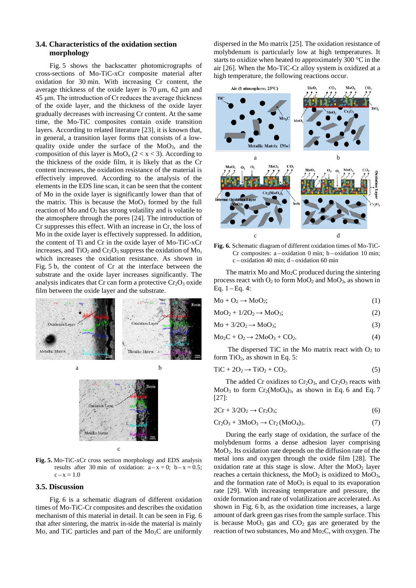## **3.4. Characteristics of the oxidation section morphology**

Fig. 5 shows the backscatter photomicrographs of cross-sections of Mo-TiC-xCr composite material after oxidation for 30 min. With increasing Cr content, the average thickness of the oxide layer is 70 μm, 62 μm and 45 μm. The introduction of Cr reduces the average thickness of the oxide layer, and the thickness of the oxide layer gradually decreases with increasing Cr content. At the same time, the Mo-TiC composites contain oxide transition layers. According to related literature [\[23\]](#page-5-12), it is known that, in general, a transition layer forms that consists of a lowquality oxide under the surface of the MoO<sub>3</sub>, and the composition of this layer is  $MoO<sub>x</sub>$  (2 < x < 3). According to the thickness of the oxide film, it is likely that as the Cr content increases, the oxidation resistance of the material is effectively improved. According to the analysis of the elements in the EDS line scan, it can be seen that the content of Mo in the oxide layer is significantly lower than that of the matrix. This is because the  $MoO<sub>3</sub>$  formed by the full reaction of Mo and O2 has strong volatility and is volatile to the atmosphere through the pores [\[24\]](#page-5-13). The introduction of Cr suppresses this effect. With an increase in Cr, the loss of Mo in the oxide layer is effectively suppressed. In addition, the content of Ti and Cr in the oxide layer of Mo-TiC-xCr increases, and  $TiO<sub>2</sub>$  and  $Cr<sub>2</sub>O<sub>3</sub>$  suppress the oxidation of Mo, which increases the oxidation resistance. As shown in Fig. 5 b, the content of Cr at the interface between the substrate and the oxide layer increases significantly. The analysis indicates that  $Cr$  can form a protective  $Cr_2O_3$  oxide film between the oxide layer and the substrate.





**Fig. 5.** Mo-TiC-xCr cross section morphology and EDS analysis results after 30 min of oxidation:  $a-x = 0$ ;  $b-x = 0.5$ ;  $c - x = 1.0$ 

#### **3.5. Discussion**

Fig. 6 is a schematic diagram of different oxidation times of Mo-TiC-Cr composites and describes the oxidation mechanism of this material in detail. It can be seen in Fig. 6 that after sintering, the matrix in-side the material is mainly Mo, and TiC particles and part of the  $Mo<sub>2</sub>C$  are uniformly dispersed in the Mo matrix [\[25\]](#page-5-14). The oxidation resistance of molybdenum is particularly low at high temperatures. It starts to oxidize when heated to approximately 300 °C in the air [\[26\]](#page-5-15). When the Mo-TiC-Cr alloy system is oxidized at a high temperature, the following reactions occur.



**Fig. 6.** Schematic diagram of different oxidation times of Mo-TiC-Cr composites:  $a -$ oxidation 0 min;  $b -$ oxidation 10 min; c – oxidation 40 min; d – oxidation 60 min

The matrix Mo and  $Mo<sub>2</sub>C$  produced during the sintering process react with  $O_2$  to form  $MoO_2$  and  $MoO_3$ , as shown in Eq.  $1 - Eq. 4$ :

$$
Mo + O2 \rightarrow MoO2; \t\t(1)
$$

 $MoO<sub>2</sub> + 1/2O<sub>2</sub> \rightarrow MoO<sub>3</sub>$ ; (2)

$$
Mo + 3/2O2 \rightarrow MoO3;
$$
\n(3)

$$
Mo_2C + O_2 \rightarrow 2MoO_3 + CO_2. \tag{4}
$$

The dispersed TiC in the Mo matrix react with  $O<sub>2</sub>$  to form  $TiO<sub>2</sub>$ , as shown in Eq. 5:

$$
TiC + 2O_2 \rightarrow TiO_2 + CO_2. \tag{5}
$$

The added Cr oxidizes to  $Cr_2O_3$ , and  $Cr_2O_3$  reacts with  $MoO<sub>3</sub>$  to form  $Cr<sub>2</sub>(MoO<sub>4</sub>)<sub>3</sub>$ , as shown in Eq. 6 and Eq. 7 [\[27\]](#page-5-16):

$$
2Cr + 3/2O_2 \rightarrow Cr_2O_3;
$$
 (6)

$$
Cr2O3 + 3MoO3 \rightarrow Cr2(MoO4)3.
$$
\n(7)

During the early stage of oxidation, the surface of the molybdenum forms a dense adhesion layer comprising MoO<sub>2</sub>. Its oxidation rate depends on the diffusion rate of the metal ions and oxygen through the oxide film [\[28\]](#page-5-17). The oxidation rate at this stage is slow. After the  $MoO<sub>2</sub>$  layer reaches a certain thickness, the  $MoO<sub>2</sub>$  is oxidized to  $MoO<sub>3</sub>$ , and the formation rate of  $MoO<sub>3</sub>$  is equal to its evaporation rate [\[29\]](#page-5-18). With increasing temperature and pressure, the oxide formation and rate of volatilization are accelerated. As shown in Fig. 6 b, as the oxidation time increases, a large amount of dark green gas rises from the sample surface. This is because  $MoO<sub>3</sub>$  gas and  $CO<sub>2</sub>$  gas are generated by the reaction of two substances, Mo and Mo2C, with oxygen. The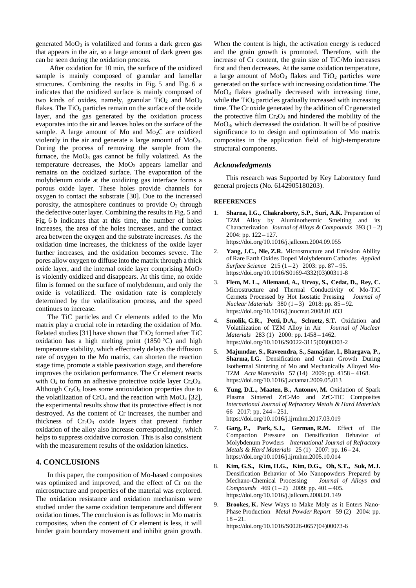generated  $MoO<sub>3</sub>$  is volatilized and forms a dark green gas that appears in the air, so a large amount of dark green gas can be seen during the oxidation process.

After oxidation for 10 min, the surface of the oxidized sample is mainly composed of granular and lamellar structures. Combining the results in Fig. 5 and Fig. 6 a indicates that the oxidized surface is mainly composed of two kinds of oxides, namely, granular  $TiO<sub>2</sub>$  and  $MoO<sub>3</sub>$ flakes. The  $TiO<sub>2</sub>$  particles remain on the surface of the oxide layer, and the gas generated by the oxidation process evaporates into the air and leaves holes on the surface of the sample. A large amount of Mo and Mo<sub>2</sub>C are oxidized violently in the air and generate a large amount of MoO3. During the process of removing the sample from the furnace, the  $MoO<sub>3</sub>$  gas cannot be fully volatized. As the temperature decreases, the  $MoO<sub>3</sub>$  appears lamellar and remains on the oxidized surface. The evaporation of the molybdenum oxide at the oxidizing gas interface forms a porous oxide layer. These holes provide channels for oxygen to contact the substrate [\[30\]](#page-5-19). Due to the increased porosity, the atmosphere continues to provide  $O_2$  through the defective outer layer. Combining the results in Fig. 5 and Fig. 6 b indicates that at this time, the number of holes increases, the area of the holes increases, and the contact area between the oxygen and the substrate increases. As the oxidation time increases, the thickness of the oxide layer further increases, and the oxidation becomes severe. The pores allow oxygen to diffuse into the matrix through a thick oxide layer, and the internal oxide layer comprising MoO<sub>2</sub> is violently oxidized and disappears. At this time, no oxide film is formed on the surface of molybdenum, and only the oxide is volatilized. The oxidation rate is completely determined by the volatilization process, and the speed continues to increase.

The TiC particles and Cr elements added to the Mo matrix play a crucial role in retarding the oxidation of Mo. Related studies [\[31\]](#page-5-20) have shown that  $TiO<sub>2</sub>$  formed after TiC oxidation has a high melting point  $(1850 \degree C)$  and high temperature stability, which effectively delays the diffusion rate of oxygen to the Mo matrix, can shorten the reaction stage time, promote a stable passivation stage, and therefore improves the oxidation performance. The Cr element reacts with  $O_2$  to form an adhesive protective oxide layer  $Cr_2O_3$ . Although  $Cr_2O_3$  loses some antioxidation properties due to the volatilization of  $CrO_3$  and the reaction with MoO<sub>3</sub> [\[32\]](#page-5-21), the experimental results show that its protective effect is not destroyed. As the content of Cr increases, the number and thickness of  $Cr_2O_3$  oxide layers that prevent further oxidation of the alloy also increase correspondingly, which helps to suppress oxidative corrosion. This is also consistent with the measurement results of the oxidation kinetics.

### **4. CONCLUSIONS**

In this paper, the composition of Mo-based composites was optimized and improved, and the effect of Cr on the microstructure and properties of the material was explored. The oxidation resistance and oxidation mechanism were studied under the same oxidation temperature and different oxidation times. The conclusion is as follows: in Mo matrix composites, when the content of Cr element is less, it will hinder grain boundary movement and inhibit grain growth. When the content is high, the activation energy is reduced and the grain growth is promoted. Therefore, with the increase of Cr content, the grain size of TiC/Mo increases first and then decreases. At the same oxidation temperature, a large amount of  $MoO<sub>3</sub>$  flakes and  $TiO<sub>2</sub>$  particles were generated on the surface with increasing oxidation time. The  $MoO<sub>3</sub>$  flakes gradually decreased with increasing time, while the  $TiO<sub>2</sub>$  particles gradually increased with increasing time. The Cr oxide generated by the addition of Cr generated the protective film  $Cr_2O_3$  and hindered the mobility of the MoO3, which decreased the oxidation. It will be of positive significance to to design and optimization of Mo matrix composites in the application field of high-temperature structural components.

#### *Acknowledgments*

This research was Supported by Key Laboratory fund general projects (No. 6142905180203).

#### **REFERENCES**

- <span id="page-4-0"></span>1. **Sharna, I.G., Chakraborty, S.P., Suri, A.K.** Preparation of TZM Alloy by Aluminothermic Smelting and its Characterization *Journal of Alloys & Compounds* 393 (1 – 2) 2004: pp. 122 – 127. https://doi.org/10.1016/j.jallcom.2004.09.055
- 2. **Yang, J.C., Nie, Z.R.** Microstructure and Emission Ability of Rare Earth Oxides Doped Molybdenum Cathodes *Applied Surface Science* 215 (1 – 2) 2003: pp. 87 – 95. https://doi.org/10.1016/S0169-4332(03)00311-8
- <span id="page-4-1"></span>3. **Flem, M. L., Allemand, A., Urvoy, S., Cedat, D., Rey, C.** Microstructure and Thermal Conductivity of Mo-TiC Cermets Processed by Hot Isostatic Pressing *Journal of Nuclear Materials* 380 (1 – 3) 2018: pp. 85 – 92. https://doi.org/10.1016/j.jnucmat.2008.01.033
- <span id="page-4-2"></span>4. **Smolik, G.R., Petti, D.A., Schuetz, S.T.** Oxidation and Volatilization of TZM Alloy in Air *Journal of Nuclear Materials* 283 (1) 2000: pp. 1458 – 1462. https://doi.org/10.1016/S0022-3115(00)00303-2
- <span id="page-4-3"></span>5. **Majumdar, S., Raveendra, S., Samajdar, I., Bhargava, P., Sharma, I.G.** Densification and Grain Growth During Isothermal Sintering of Mo and Mechanically Alloyed Mo-TZM *Acta Materialia* 57 (14) 2009: pp. 4158 – 4168. https://doi.org/10.1016/j.actamat.2009.05.013
- 6. **Yung, D.L., Maaten, B., Antonov, M.** Oxidation of Spark Plasma Sintered ZrC-Mo and ZrC-TiC Composites *International Journal of Refractory Metals & Hard Materials* 66 2017: pp. 244 – 251. https://doi.org/10.1016/j.ijrmhm.2017.03.019
- 7. **Garg, P., Park, S.J., German, R.M.** Effect of Die Compaction Pressure on Densification Behavior of Molybdenum Powders *International Journal of Refractory Metals & Hard Materials* 25 (1) 2007: pp. 16 – 24. https://doi.org/10.1016/j.ijrmhm.2005.10.014
- <span id="page-4-4"></span>8. **Kim, G.S., Kim, H.G., Kim, D.G., Oh, S.T., Suk, M.J.**  Densification Behavior of Mo Nanopowders Prepared by Mechano-Chemical Processing *Journal of Alloys and Compounds*  $469 (1 - 2)$   $2009$ ; pp.  $401 - 405$ . https://doi.org/10.1016/j.jallcom.2008.01.149
- <span id="page-4-5"></span>Brookes, K. New Ways to Make Moly as it Enters Nano-Phase Production *Metal Powder Report* 59 (2) 2004: pp.  $18 - 21.$ https://doi.org/10.1016/S0026-0657(04)00073-6